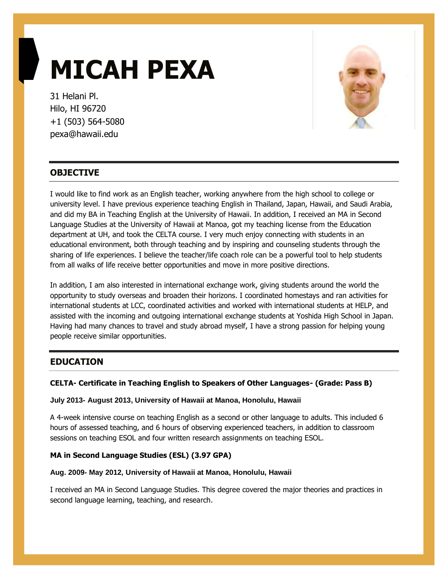# **MICAH PEXA**

31 Helani Pl. Hilo, HI 96720 +1 (503) 564-5080 pexa@hawaii.edu



# **OBJECTIVE**

I would like to find work as an English teacher, working anywhere from the high school to college or university level. I have previous experience teaching English in Thailand, Japan, Hawaii, and Saudi Arabia, and did my BA in Teaching English at the University of Hawaii. In addition, I received an MA in Second Language Studies at the University of Hawaii at Manoa, got my teaching license from the Education department at UH, and took the CELTA course. I very much enjoy connecting with students in an educational environment, both through teaching and by inspiring and counseling students through the sharing of life experiences. I believe the teacher/life coach role can be a powerful tool to help students from all walks of life receive better opportunities and move in more positive directions.

In addition, I am also interested in international exchange work, giving students around the world the opportunity to study overseas and broaden their horizons. I coordinated homestays and ran activities for international students at LCC, coordinated activities and worked with international students at HELP, and assisted with the incoming and outgoing international exchange students at Yoshida High School in Japan. Having had many chances to travel and study abroad myself, I have a strong passion for helping young people receive similar opportunities.

# **EDUCATION**

# **CELTA- Certificate in Teaching English to Speakers of Other Languages- (Grade: Pass B)**

#### **July 2013- August 2013, University of Hawaii at Manoa, Honolulu, Hawaii**

A 4-week intensive course on teaching English as a second or other language to adults. This included 6 hours of assessed teaching, and 6 hours of observing experienced teachers, in addition to classroom sessions on teaching ESOL and four written research assignments on teaching ESOL.

# **MA in Second Language Studies (ESL) (3.97 GPA)**

#### **Aug. 2009- May 2012, University of Hawaii at Manoa, Honolulu, Hawaii**

I received an MA in Second Language Studies. This degree covered the major theories and practices in second language learning, teaching, and research.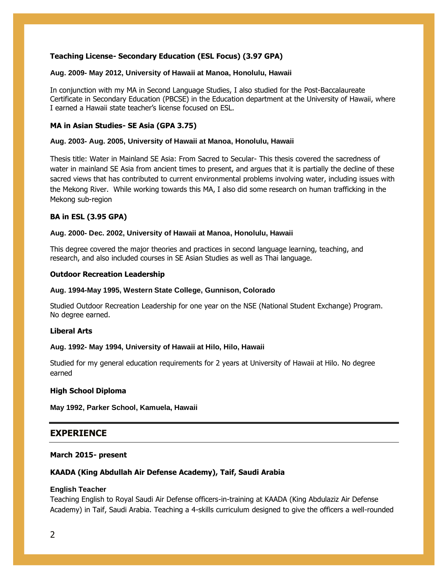# **Teaching License- Secondary Education (ESL Focus) (3.97 GPA)**

#### **Aug. 2009- May 2012, University of Hawaii at Manoa, Honolulu, Hawaii**

In conjunction with my MA in Second Language Studies, I also studied for the Post-Baccalaureate Certificate in Secondary Education (PBCSE) in the Education department at the University of Hawaii, where I earned a Hawaii state teacher's license focused on ESL.

#### **MA in Asian Studies- SE Asia (GPA 3.75)**

#### **Aug. 2003- Aug. 2005, University of Hawaii at Manoa, Honolulu, Hawaii**

Thesis title: Water in Mainland SE Asia: From Sacred to Secular- This thesis covered the sacredness of water in mainland SE Asia from ancient times to present, and argues that it is partially the decline of these sacred views that has contributed to current environmental problems involving water, including issues with the Mekong River. While working towards this MA, I also did some research on human trafficking in the Mekong sub-region

#### **BA in ESL (3.95 GPA)**

#### **Aug. 2000- Dec. 2002, University of Hawaii at Manoa, Honolulu, Hawaii**

This degree covered the major theories and practices in second language learning, teaching, and research, and also included courses in SE Asian Studies as well as Thai language.

#### **Outdoor Recreation Leadership**

#### **Aug. 1994-May 1995, Western State College, Gunnison, Colorado**

Studied Outdoor Recreation Leadership for one year on the NSE (National Student Exchange) Program. No degree earned.

#### **Liberal Arts**

#### **Aug. 1992- May 1994, University of Hawaii at Hilo, Hilo, Hawaii**

Studied for my general education requirements for 2 years at University of Hawaii at Hilo. No degree earned

#### **High School Diploma**

**May 1992, Parker School, Kamuela, Hawaii**

# **EXPERIENCE**

#### **March 2015- present**

# **KAADA (King Abdullah Air Defense Academy), Taif, Saudi Arabia**

#### **English Teacher**

Teaching English to Royal Saudi Air Defense officers-in-training at KAADA (King Abdulaziz Air Defense Academy) in Taif, Saudi Arabia. Teaching a 4-skills curriculum designed to give the officers a well-rounded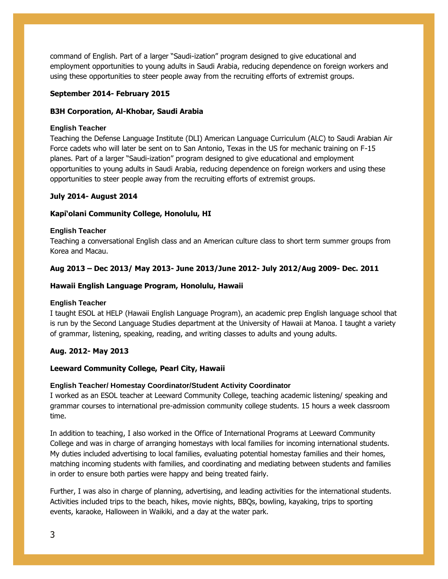command of English. Part of a larger "Saudi-ization" program designed to give educational and employment opportunities to young adults in Saudi Arabia, reducing dependence on foreign workers and using these opportunities to steer people away from the recruiting efforts of extremist groups.

#### **September 2014- February 2015**

#### **B3H Corporation, Al-Khobar, Saudi Arabia**

#### **English Teacher**

Teaching the Defense Language Institute (DLI) American Language Curriculum (ALC) to Saudi Arabian Air Force cadets who will later be sent on to San Antonio, Texas in the US for mechanic training on F-15 planes. Part of a larger "Saudi-ization" program designed to give educational and employment opportunities to young adults in Saudi Arabia, reducing dependence on foreign workers and using these opportunities to steer people away from the recruiting efforts of extremist groups.

#### **July 2014- August 2014**

#### **Kapi'olani Community College, Honolulu, HI**

#### **English Teacher**

Teaching a conversational English class and an American culture class to short term summer groups from Korea and Macau.

#### **Aug 2013 – Dec 2013/ May 2013- June 2013/June 2012- July 2012/Aug 2009- Dec. 2011**

#### **Hawaii English Language Program, Honolulu, Hawaii**

#### **English Teacher**

I taught ESOL at HELP (Hawaii English Language Program), an academic prep English language school that is run by the Second Language Studies department at the University of Hawaii at Manoa. I taught a variety of grammar, listening, speaking, reading, and writing classes to adults and young adults.

# **Aug. 2012- May 2013**

# **Leeward Community College, Pearl City, Hawaii**

#### **English Teacher/ Homestay Coordinator/Student Activity Coordinator**

I worked as an ESOL teacher at Leeward Community College, teaching academic listening/ speaking and grammar courses to international pre-admission community college students. 15 hours a week classroom time.

In addition to teaching, I also worked in the Office of International Programs at Leeward Community College and was in charge of arranging homestays with local families for incoming international students. My duties included advertising to local families, evaluating potential homestay families and their homes, matching incoming students with families, and coordinating and mediating between students and families in order to ensure both parties were happy and being treated fairly.

Further, I was also in charge of planning, advertising, and leading activities for the international students. Activities included trips to the beach, hikes, movie nights, BBQs, bowling, kayaking, trips to sporting events, karaoke, Halloween in Waikiki, and a day at the water park.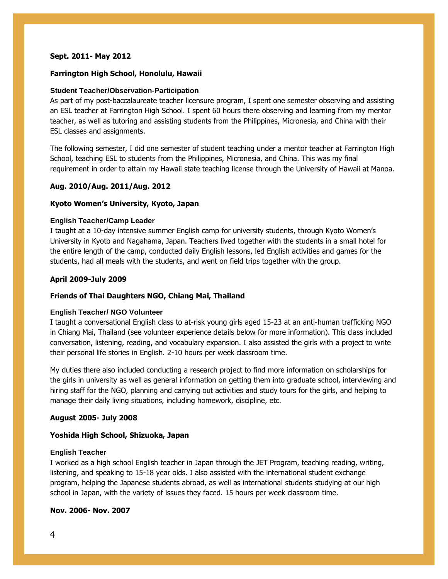#### **Sept. 2011- May 2012**

#### **Farrington High School, Honolulu, Hawaii**

#### **Student Teacher/Observation-Participation**

As part of my post-baccalaureate teacher licensure program, I spent one semester observing and assisting an ESL teacher at Farrington High School. I spent 60 hours there observing and learning from my mentor teacher, as well as tutoring and assisting students from the Philippines, Micronesia, and China with their ESL classes and assignments.

The following semester, I did one semester of student teaching under a mentor teacher at Farrington High School, teaching ESL to students from the Philippines, Micronesia, and China. This was my final requirement in order to attain my Hawaii state teaching license through the University of Hawaii at Manoa.

#### **Aug. 2010/Aug. 2011/Aug. 2012**

#### **Kyoto Women's University, Kyoto, Japan**

#### **English Teacher/Camp Leader**

I taught at a 10-day intensive summer English camp for university students, through Kyoto Women's University in Kyoto and Nagahama, Japan. Teachers lived together with the students in a small hotel for the entire length of the camp, conducted daily English lessons, led English activities and games for the students, had all meals with the students, and went on field trips together with the group.

#### **April 2009-July 2009**

#### **Friends of Thai Daughters NGO, Chiang Mai, Thailand**

#### **English Teacher/ NGO Volunteer**

I taught a conversational English class to at-risk young girls aged 15-23 at an anti-human trafficking NGO in Chiang Mai, Thailand (see volunteer experience details below for more information). This class included conversation, listening, reading, and vocabulary expansion. I also assisted the girls with a project to write their personal life stories in English. 2-10 hours per week classroom time.

My duties there also included conducting a research project to find more information on scholarships for the girls in university as well as general information on getting them into graduate school, interviewing and hiring staff for the NGO, planning and carrying out activities and study tours for the girls, and helping to manage their daily living situations, including homework, discipline, etc.

#### **August 2005- July 2008**

#### **Yoshida High School, Shizuoka, Japan**

#### **English Teacher**

I worked as a high school English teacher in Japan through the JET Program, teaching reading, writing, listening, and speaking to 15-18 year olds. I also assisted with the international student exchange program, helping the Japanese students abroad, as well as international students studying at our high school in Japan, with the variety of issues they faced. 15 hours per week classroom time.

# **Nov. 2006- Nov. 2007**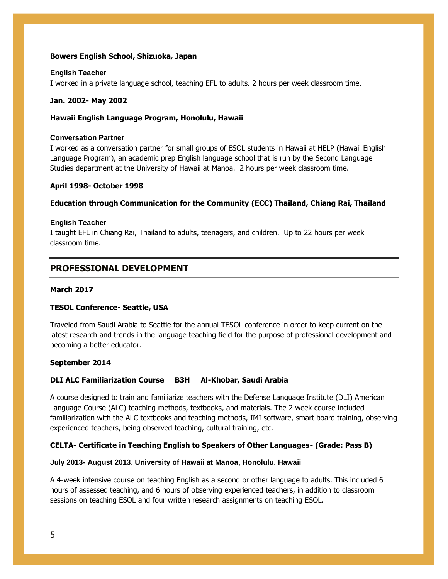#### **Bowers English School, Shizuoka, Japan**

#### **English Teacher**

I worked in a private language school, teaching EFL to adults. 2 hours per week classroom time.

#### **Jan. 2002- May 2002**

#### **Hawaii English Language Program, Honolulu, Hawaii**

#### **Conversation Partner**

I worked as a conversation partner for small groups of ESOL students in Hawaii at HELP (Hawaii English Language Program), an academic prep English language school that is run by the Second Language Studies department at the University of Hawaii at Manoa. 2 hours per week classroom time.

#### **April 1998- October 1998**

# **Education through Communication for the Community (ECC) Thailand, Chiang Rai, Thailand**

#### **English Teacher**

I taught EFL in Chiang Rai, Thailand to adults, teenagers, and children. Up to 22 hours per week classroom time.

# **PROFESSIONAL DEVELOPMENT**

#### **March 2017**

# **TESOL Conference- Seattle, USA**

Traveled from Saudi Arabia to Seattle for the annual TESOL conference in order to keep current on the latest research and trends in the language teaching field for the purpose of professional development and becoming a better educator.

#### **September 2014**

# **DLI ALC Familiarization Course B3H Al-Khobar, Saudi Arabia**

A course designed to train and familiarize teachers with the Defense Language Institute (DLI) American Language Course (ALC) teaching methods, textbooks, and materials. The 2 week course included familiarization with the ALC textbooks and teaching methods, IMI software, smart board training, observing experienced teachers, being observed teaching, cultural training, etc.

# **CELTA- Certificate in Teaching English to Speakers of Other Languages- (Grade: Pass B)**

#### **July 2013- August 2013, University of Hawaii at Manoa, Honolulu, Hawaii**

A 4-week intensive course on teaching English as a second or other language to adults. This included 6 hours of assessed teaching, and 6 hours of observing experienced teachers, in addition to classroom sessions on teaching ESOL and four written research assignments on teaching ESOL.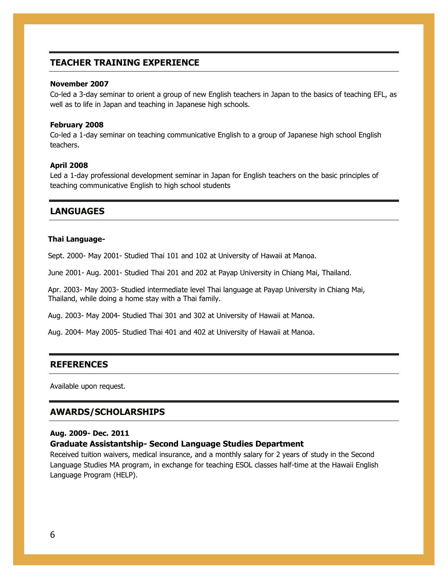# **TEACHER TRAINING EXPERIENCE**

#### **November 2007**

Co-led a 3-day seminar to orient a group of new English teachers in Japan to the basics of teaching EFL, as well as to life in Japan and teaching in Japanese high schools.

#### **February 2008**

Co-led a 1-day seminar on teaching communicative English to a group of Japanese high school English teachers.

#### **April 2008**

Led a 1-day professional development seminar in Japan for English teachers on the basic principles of teaching communicative English to high school students

# **LANGUAGES**

#### **Thai Language-**

Sept. 2000- May 2001- Studied Thai 101 and 102 at University of Hawaii at Manoa.

June 2001- Aug. 2001- Studied Thai 201 and 202 at Payap University in Chiang Mai, Thailand.

Apr. 2003- May 2003- Studied intermediate level Thai language at Payap University in Chiang Mai, Thailand, while doing a home stay with a Thai family.

Aug. 2003- May 2004- Studied Thai 301 and 302 at University of Hawaii at Manoa.

Aug. 2004- May 2005- Studied Thai 401 and 402 at University of Hawaii at Manoa.

#### **REFERENCES**

Available upon request.

#### **AWARDS/SCHOLARSHIPS**

#### **Aug. 2009- Dec. 2011**

#### **Graduate Assistantship- Second Language Studies Department**

Received tuition waivers, medical insurance, and a monthly salary for 2 years of study in the Second Language Studies MA program, in exchange for teaching ESOL classes half-time at the Hawaii English Language Program (HELP).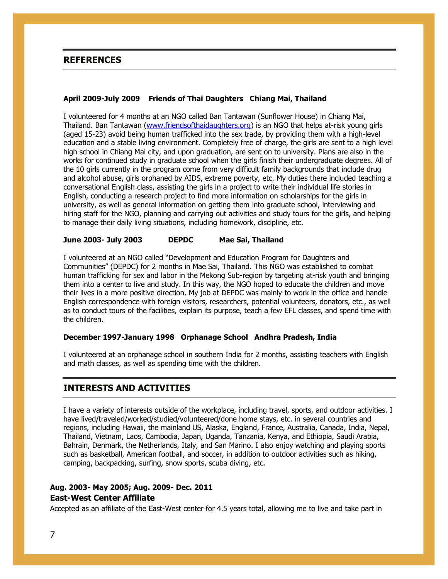# **REFERENCES**

#### **April 2009-July 2009 Friends of Thai Daughters Chiang Mai, Thailand**

I volunteered for 4 months at an NGO called Ban Tantawan (Sunflower House) in Chiang Mai, Thailand. Ban Tantawan (www.friendsofthaidaughters.org) is an NGO that helps at-risk young girls (aged 15-23) avoid being human trafficked into the sex trade, by providing them with a high-level education and a stable living environment. Completely free of charge, the girls are sent to a high level high school in Chiang Mai city, and upon graduation, are sent on to university. Plans are also in the works for continued study in graduate school when the girls finish their undergraduate degrees. All of the 10 girls currently in the program come from very difficult family backgrounds that include drug and alcohol abuse, girls orphaned by AIDS, extreme poverty, etc. My duties there included teaching a conversational English class, assisting the girls in a project to write their individual life stories in English, conducting a research project to find more information on scholarships for the girls in university, as well as general information on getting them into graduate school, interviewing and hiring staff for the NGO, planning and carrying out activities and study tours for the girls, and helping to manage their daily living situations, including homework, discipline, etc.

#### **June 2003- July 2003 DEPDC Mae Sai, Thailand**

I volunteered at an NGO called "Development and Education Program for Daughters and Communities" (DEPDC) for 2 months in Mae Sai, Thailand. This NGO was established to combat human trafficking for sex and labor in the Mekong Sub-region by targeting at-risk youth and bringing them into a center to live and study. In this way, the NGO hoped to educate the children and move their lives in a more positive direction. My job at DEPDC was mainly to work in the office and handle English correspondence with foreign visitors, researchers, potential volunteers, donators, etc., as well as to conduct tours of the facilities, explain its purpose, teach a few EFL classes, and spend time with the children.

#### **December 1997-January 1998 Orphanage School Andhra Pradesh, India**

I volunteered at an orphanage school in southern India for 2 months, assisting teachers with English and math classes, as well as spending time with the children.

#### **INTERESTS AND ACTIVITIES**

I have a variety of interests outside of the workplace, including travel, sports, and outdoor activities. I have lived/traveled/worked/studied/volunteered/done home stays, etc. in several countries and regions, including Hawaii, the mainland US, Alaska, England, France, Australia, Canada, India, Nepal, Thailand, Vietnam, Laos, Cambodia, Japan, Uganda, Tanzania, Kenya, and Ethiopia, Saudi Arabia, Bahrain, Denmark, the Netherlands, Italy, and San Marino. I also enjoy watching and playing sports such as basketball, American football, and soccer, in addition to outdoor activities such as hiking, camping, backpacking, surfing, snow sports, scuba diving, etc.

# **Aug. 2003- May 2005; Aug. 2009- Dec. 2011 East-West Center Affiliate**

Accepted as an affiliate of the East-West center for 4.5 years total, allowing me to live and take part in